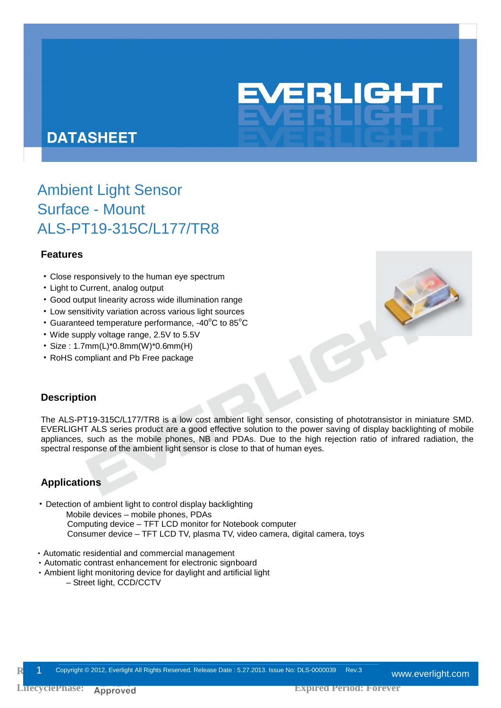

# **DATASHEET**

# Ambient Light Sensor Surface - Mount ALS-PT19-315C/L177/TR8

### **Features**

- ‧Close responsively to the human eye spectrum
- ‧Light to Current, analog output
- ‧Good output linearity across wide illumination range
- ‧Low sensitivity variation across various light sources
- $\cdot$  Guaranteed temperature performance, -40 $^{\circ}$ C to 85 $^{\circ}$ C
- ‧Wide supply voltage range, 2.5V to 5.5V
- ‧Size : 1.7mm(L)\*0.8mm(W)\*0.6mm(H)
- ‧RoHS compliant and Pb Free package



### **Description**

The ALS-PT19-315C/L177/TR8 is a low cost ambient light sensor, consisting of phototransistor in miniature SMD. EVERLIGHT ALS series product are a good effective solution to the power saving of display backlighting of mobile appliances, such as the mobile phones, NB and PDAs. Due to the high rejection ratio of infrared radiation, the spectral response of the ambient light sensor is close to that of human eyes.

### **Applications**

- ‧Detection of ambient light to control display backlighting
	- Mobile devices mobile phones, PDAs
	- Computing device TFT LCD monitor for Notebook computer Consumer device – TFT LCD TV, plasma TV, video camera, digital camera, toys
- ‧Automatic residential and commercial management
- ‧Automatic contrast enhancement for electronic signboard
- ‧Ambient light monitoring device for daylight and artificial light
	- Street light, CCD/CCTV

**R** 1 Copyright © 2012, Everlight All Rights Reserved. Release Date : 5.27.2013. Issue No: DLS-0000039 Rev.3 Www.everlight.com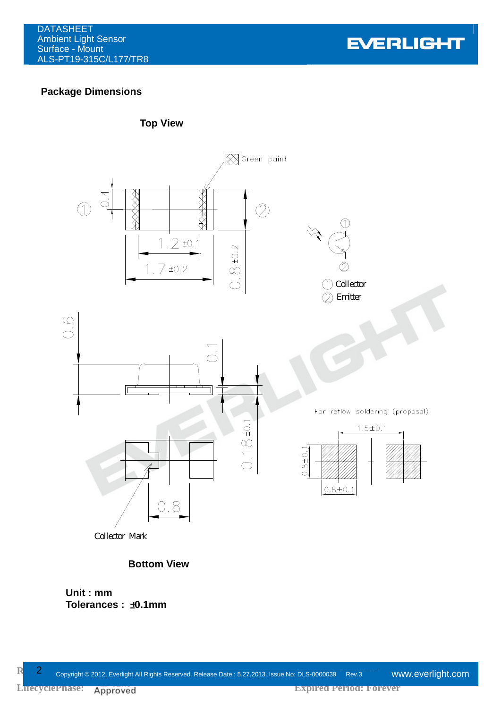**EVERLIGHT** 

# **Package Dimensions**



Collector Mark

### **Bottom View**

0.8

**Unit : mm Tolerances :** ±**0.1mm**

LifecyclePhase: Approved

 $0.8 \pm 0.1$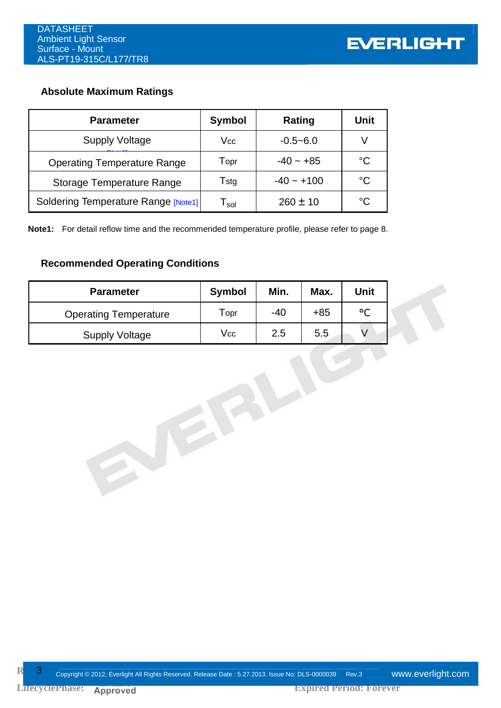# **Absolute Maximum Ratings**

| <b>Parameter</b>                    | <b>Symbol</b>    | Rating       | Unit        |
|-------------------------------------|------------------|--------------|-------------|
| <b>Supply Voltage</b>               | Vcc              | $-0.5 - 6.0$ |             |
| <b>Operating Temperature Range</b>  | Topr             | $-40 - +85$  | $^{\circ}C$ |
| <b>Storage Temperature Range</b>    | Tstg             | $-40 - +100$ | °C          |
| Soldering Temperature Range [Note1] | l <sub>sol</sub> | $260 \pm 10$ | °C          |

**Note1:** For detail reflow time and the recommended temperature profile, please refer to page 8.

# **Recommended Operating Conditions**

| <b>Parameter</b>             | <b>Symbol</b> | Min.  | Max.  | <b>Unit</b>  |
|------------------------------|---------------|-------|-------|--------------|
| <b>Operating Temperature</b> | Topr          | $-40$ | $+85$ | $^{\circ}$ C |
| <b>Supply Voltage</b>        | Vcc           | 2.5   | 5.5   | V            |
|                              |               |       |       |              |

A EFFL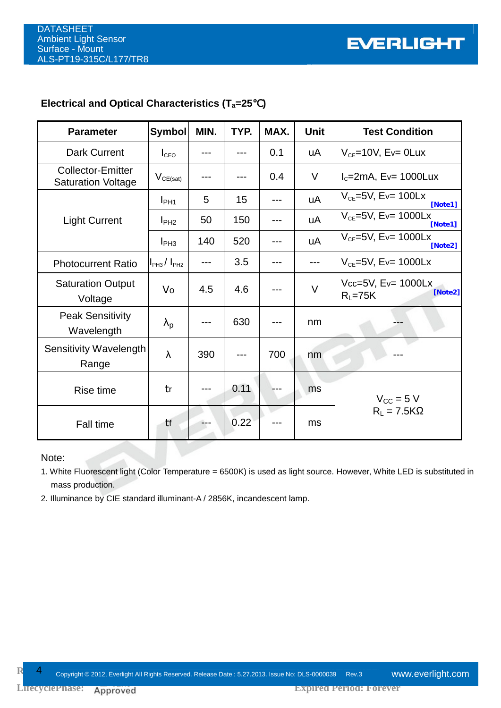# **Electrical and Optical Characteristics (Ta=25**℃**)**

| <b>Parameter</b>                                      | Symbol                             | MIN. | TYP. | MAX. | <b>Unit</b> | <b>Test Condition</b>                             |  |
|-------------------------------------------------------|------------------------------------|------|------|------|-------------|---------------------------------------------------|--|
| <b>Dark Current</b>                                   | $I_{\text{CEO}}$                   |      |      | 0.1  | uA          | $V_{CE}$ =10V, Ev= 0Lux                           |  |
| <b>Collector-Emitter</b><br><b>Saturation Voltage</b> | $V_{CE(sat)}$                      |      |      | 0.4  | V           | $I_c = 2mA$ , Ev= 1000Lux                         |  |
| <b>Light Current</b>                                  | $I_{PH1}$                          | 5    | 15   | ---  | uA          | $V_{CE}$ =5V, Ev= 100Lx<br>[Note1]                |  |
|                                                       | I <sub>PH2</sub>                   | 50   | 150  |      | uA          | $V_{CE}$ =5V, Ev= 1000Lx<br>[Note1]               |  |
|                                                       | I <sub>PH3</sub>                   | 140  | 520  |      | uA          | $V_{CE}$ =5V, Ev= 1000Lx<br>[Note2]               |  |
| <b>Photocurrent Ratio</b>                             | I <sub>PH3</sub> /I <sub>PH2</sub> |      | 3.5  |      |             | $V_{CE}$ =5V, Ev= 1000Lx                          |  |
| <b>Saturation Output</b><br>Voltage                   | Vo                                 | 4.5  | 4.6  |      | $\vee$      | Vcc=5V, $E_v = 1000$ Lx<br>[Note2]<br>$R_L = 75K$ |  |
| <b>Peak Sensitivity</b><br>Wavelength                 | $\lambda_{\rm p}$                  |      | 630  |      | nm          |                                                   |  |
| Sensitivity Wavelength<br>Range                       | $\lambda$                          | 390  |      | 700  | nm          |                                                   |  |
| Rise time                                             | tr                                 |      | 0.11 |      | ms          | $V_{\text{CC}} = 5 V$<br>$R_L = 7.5K\Omega$       |  |
| <b>Fall time</b>                                      | tf                                 |      | 0.22 |      | ms          |                                                   |  |

### Note:

1. White Fluorescent light (Color Temperature = 6500K) is used as light source. However, White LED is substituted in mass production.

2. Illuminance by CIE standard illuminant-A / 2856K, incandescent lamp.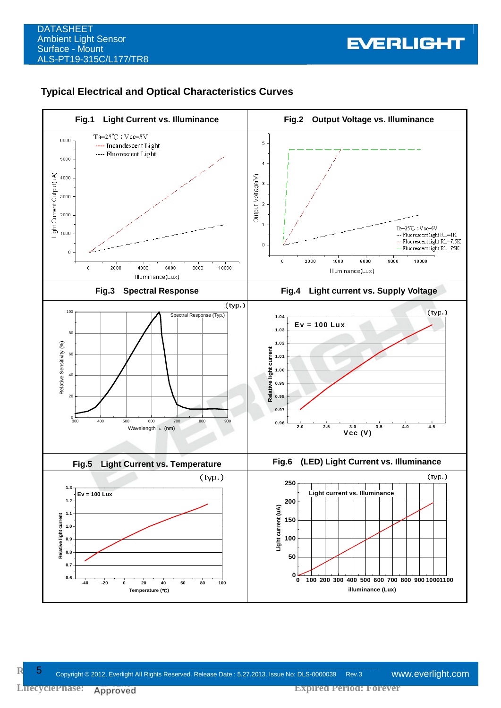### **Typical Electrical and Optical Characteristics Curves**

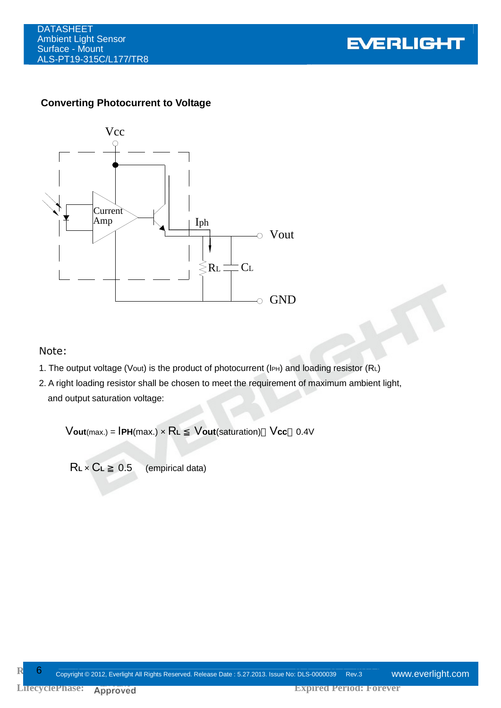

### **Converting Photocurrent to Voltage**



#### Note:

- 1. The output voltage (Vout) is the product of photocurrent (IPH) and loading resistor (RL)
- 2. A right loading resistor shall be chosen to meet the requirement of maximum ambient light, and output saturation voltage:

V**out**(max.) = I**PH**(max.) × R**<sup>L</sup>** V**out**(saturation) V**cc** 0.4V

R**L** × C**<sup>L</sup>** 0.5 (empirical data)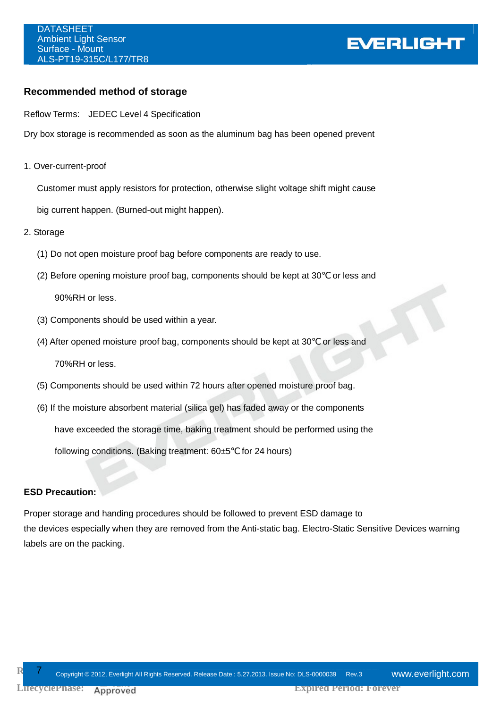# **EVERLIGHT**

### **Recommended method of storage**

Reflow Terms: JEDEC Level 4 Specification

Dry box storage is recommended as soon as the aluminum bag has been opened prevent

1. Over-current-proof

Customer must apply resistors for protection, otherwise slight voltage shift might cause

big current happen. (Burned-out might happen).

- 2. Storage
	- (1) Do not open moisture proof bag before components are ready to use.
	- (2) Before opening moisture proof bag, components should be kept at 30 or less and 90%RH or less.
	- (3) Components should be used within a year.
	- (4) After opened moisture proof bag, components should be kept at 30 or less and

70%RH or less.

- (5) Components should be used within 72 hours after opened moisture proof bag.
- (6) If the moisture absorbent material (silica gel) has faded away or the components have exceeded the storage time, baking treatment should be performed using the following conditions. (Baking treatment:  $60±5$  for 24 hours)

#### **ESD Precaution:**

Proper storage and handing procedures should be followed to prevent ESD damage to the devices especially when they are removed from the Anti-static bag. Electro-Static Sensitive Devices warning labels are on the packing.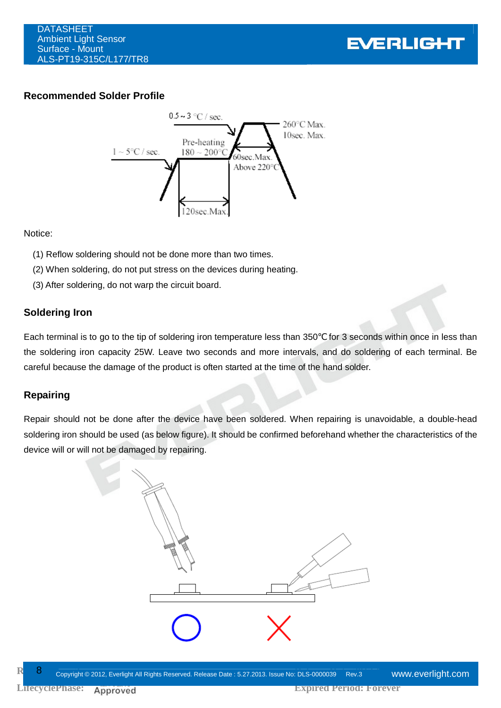

## **Recommended Solder Profile**



Notice:

- (1) Reflow soldering should not be done more than two times.
- (2) When soldering, do not put stress on the devices during heating.
- (3) After soldering, do not warp the circuit board.

### **Soldering Iron**

Each terminal is to go to the tip of soldering iron temperature less than 350 for 3 seconds within once in less than the soldering iron capacity 25W. Leave two seconds and more intervals, and do soldering of each terminal. Be careful because the damage of the product is often started at the time of the hand solder.

### **Repairing**

Repair should not be done after the device have been soldered. When repairing is unavoidable, a double-head soldering iron should be used (as below figure). It should be confirmed beforehand whether the characteristics of the device will or will not be damaged by repairing.

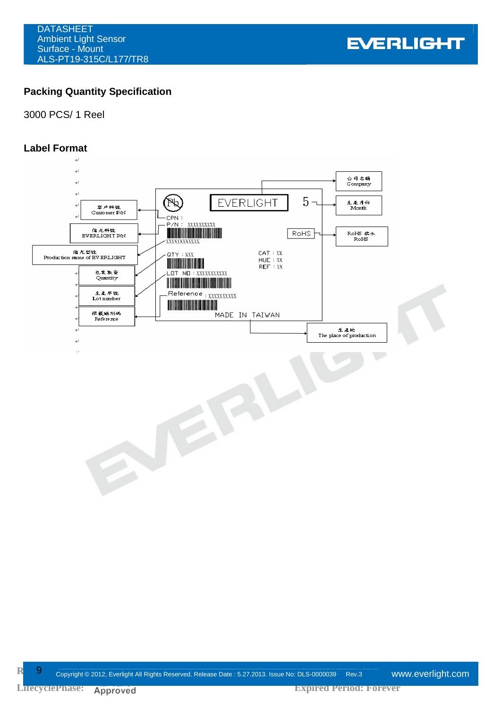**EVERLIGHT** 

# **Packing Quantity Specification**

### 3000 PCS/ 1 Reel

### **Label Format**

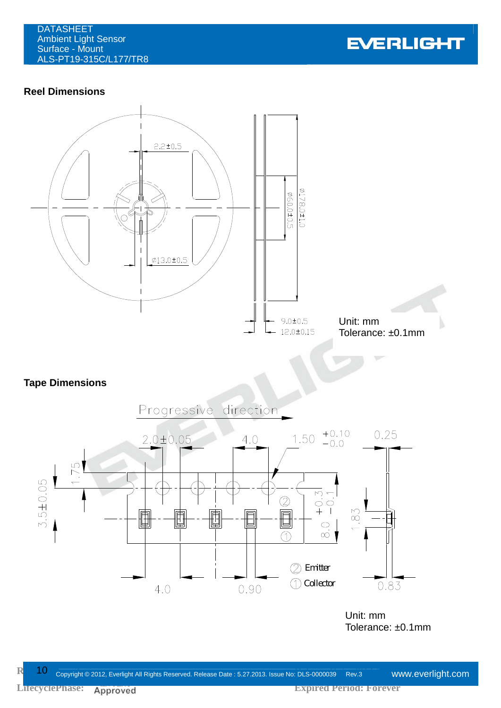

## **Reel Dimensions**



## **Tape Dimensions**



Unit: mm Tolerance: ±0.1mm